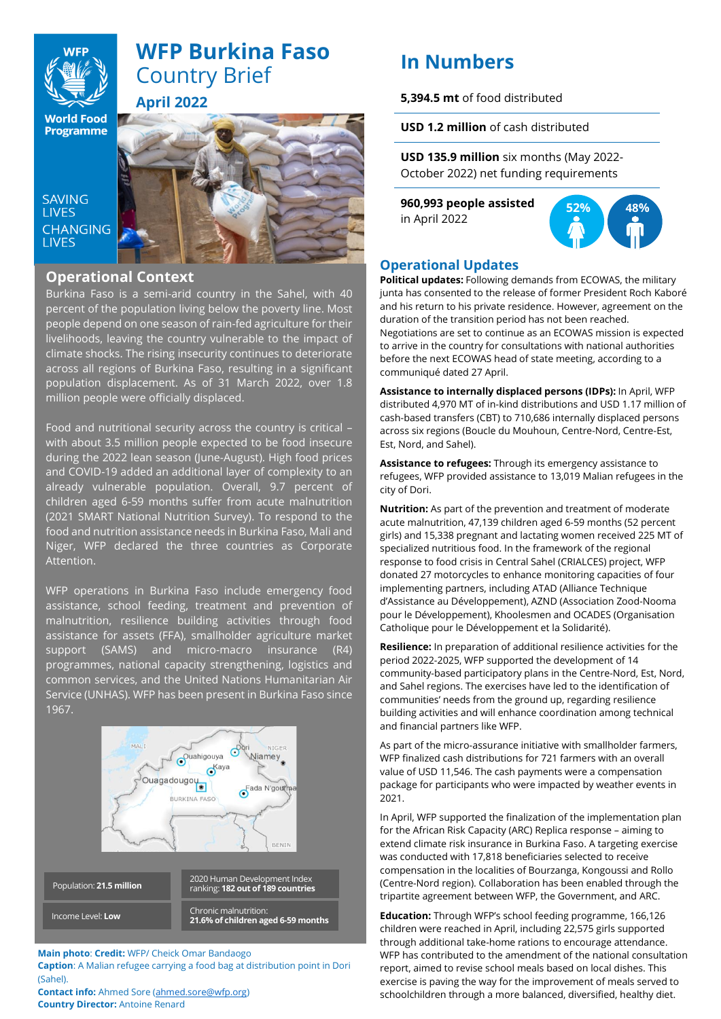

# **WFP Burkina Faso** Country Brief **April 2022**

**World Food Programme** 

**SAVING LIVES CHANGING I IVES** 



### **Operational Context**

Burkina Faso is a semi-arid country in the Sahel, with 40 percent of the population living below the poverty line. Most people depend on one season of rain-fed agriculture for their livelihoods, leaving the country vulnerable to the impact of climate shocks. The rising insecurity continues to deteriorate across all regions of Burkina Faso, resulting in a significant population displacement. As of 31 March 2022, over 1.8 million people were officially displaced.

Food and nutritional security across the country is critical – with about 3.5 million people expected to be food insecure during the 2022 lean season (June-August). High food prices and COVID-19 added an additional layer of complexity to an already vulnerable population. Overall, 9.7 percent of children aged 6-59 months suffer from acute malnutrition (2021 SMART National Nutrition Survey). To respond to the food and nutrition assistance needs in Burkina Faso, Mali and Niger, WFP declared the three countries as Corporate Attention.

WFP operations in Burkina Faso include emergency food assistance, school feeding, treatment and prevention of malnutrition, resilience building activities through food assistance for assets (FFA), smallholder agriculture market support (SAMS) and micro-macro insurance (R4) programmes, national capacity strengthening, logistics and common services, and the United Nations Humanitarian Air Service (UNHAS). WFP has been present in Burkina Faso since 1967.



#### **Main photo**: **Credit:** WFP/ Cheick Omar Bandaogo

**Caption**: A Malian refugee carrying a food bag at distribution point in Dori (Sahel).

**Contact info:** Ahmed Sore [\(ahmed.sore@wfp.org\)](mailto:ahmed.sore@wfp.org) **Country Director:** Antoine Renard

# **In Numbers**

**5,394.5 mt** of food distributed

**USD 1.2 million** of cash distributed

**USD 135.9 million** six months (May 2022- October 2022) net funding requirements

**960,993 people assisted**  in April 2022



### **Operational Updates**

**Political updates:** Following demands from ECOWAS, the military junta has consented to the release of former President Roch Kaboré and his return to his private residence. However, agreement on the duration of the transition period has not been reached. Negotiations are set to continue as an ECOWAS mission is expected to arrive in the country for consultations with national authorities before the next ECOWAS head of state meeting, according to a communiqué dated 27 April.

**Assistance to internally displaced persons (IDPs):** In April, WFP distributed 4,970 MT of in-kind distributions and USD 1.17 million of cash-based transfers (CBT) to 710,686 internally displaced persons across six regions (Boucle du Mouhoun, Centre-Nord, Centre-Est, Est, Nord, and Sahel).

**Assistance to refugees:** Through its emergency assistance to refugees, WFP provided assistance to 13,019 Malian refugees in the city of Dori.

**Nutrition:** As part of the prevention and treatment of moderate acute malnutrition, 47,139 children aged 6-59 months (52 percent girls) and 15,338 pregnant and lactating women received 225 MT of specialized nutritious food. In the framework of the regional response to food crisis in Central Sahel (CRIALCES) project, WFP donated 27 motorcycles to enhance monitoring capacities of four implementing partners, including ATAD (Alliance Technique d'Assistance au Développement), AZND (Association Zood-Nooma pour le Développement), Khoolesmen and OCADES (Organisation Catholique pour le Développement et la Solidarité).

**Resilience:** In preparation of additional resilience activities for the period 2022-2025, WFP supported the development of 14 community-based participatory plans in the Centre-Nord, Est, Nord, and Sahel regions. The exercises have led to the identification of communities' needs from the ground up, regarding resilience building activities and will enhance coordination among technical and financial partners like WFP.

As part of the micro-assurance initiative with smallholder farmers, WFP finalized cash distributions for 721 farmers with an overall value of USD 11,546. The cash payments were a compensation package for participants who were impacted by weather events in 2021.

In April, WFP supported the finalization of the implementation plan for the African Risk Capacity (ARC) Replica response – aiming to extend climate risk insurance in Burkina Faso. A targeting exercise was conducted with 17,818 beneficiaries selected to receive compensation in the localities of Bourzanga, Kongoussi and Rollo (Centre-Nord region). Collaboration has been enabled through the tripartite agreement between WFP, the Government, and ARC.

**Education:** Through WFP's school feeding programme, 166,126 children were reached in April, including 22,575 girls supported through additional take-home rations to encourage attendance. WFP has contributed to the amendment of the national consultation report, aimed to revise school meals based on local dishes. This exercise is paving the way for the improvement of meals served to schoolchildren through a more balanced, diversified, healthy diet.